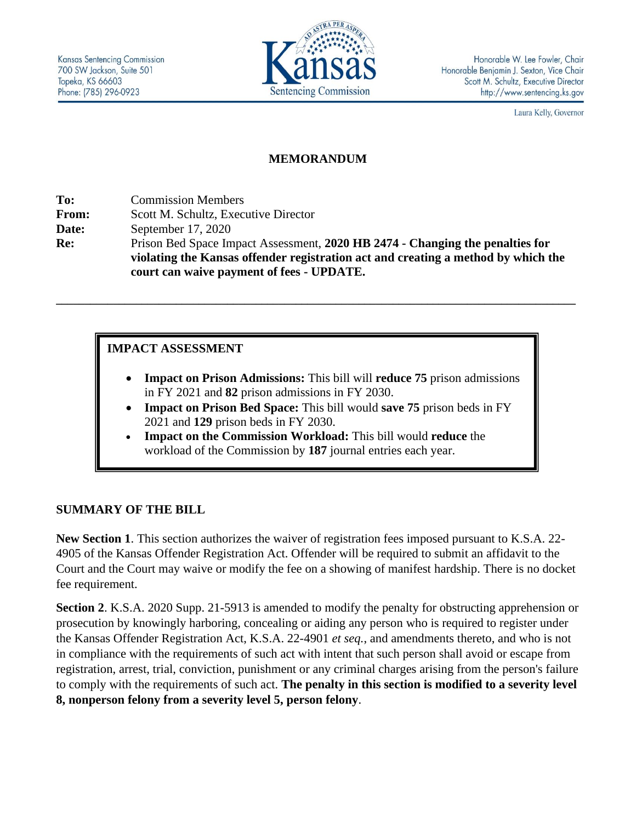

Laura Kelly, Governor

### **MEMORANDUM**

**To:** Commission Members **From:** Scott M. Schultz, Executive Director **Date:** September 17, 2020 **Re:** Prison Bed Space Impact Assessment, **2020 HB 2474 - Changing the penalties for violating the Kansas offender registration act and creating a method by which the court can waive payment of fees - UPDATE.**

**\_\_\_\_\_\_\_\_\_\_\_\_\_\_\_\_\_\_\_\_\_\_\_\_\_\_\_\_\_\_\_\_\_\_\_\_\_\_\_\_\_\_\_\_\_\_\_\_\_\_\_\_\_\_\_\_\_\_\_\_\_\_\_\_\_\_\_\_\_\_\_\_\_\_\_\_\_\_\_\_\_\_\_\_\_\_\_\_\_\_\_**

## **IMPACT ASSESSMENT**

- **Impact on Prison Admissions:** This bill will **reduce 75** prison admissions in FY 2021 and **82** prison admissions in FY 2030.
- **Impact on Prison Bed Space:** This bill would **save 75** prison beds in FY 2021 and **129** prison beds in FY 2030.
- **Impact on the Commission Workload:** This bill would **reduce** the workload of the Commission by **187** journal entries each year.

#### **SUMMARY OF THE BILL**

**New Section 1**. This section authorizes the waiver of registration fees imposed pursuant to K.S.A. 22- 4905 of the Kansas Offender Registration Act. Offender will be required to submit an affidavit to the Court and the Court may waive or modify the fee on a showing of manifest hardship. There is no docket fee requirement.

**Section 2**. K.S.A. 2020 Supp. 21-5913 is amended to modify the penalty for obstructing apprehension or prosecution by knowingly harboring, concealing or aiding any person who is required to register under the Kansas Offender Registration Act, K.S.A. 22-4901 *et seq.*, and amendments thereto, and who is not in compliance with the requirements of such act with intent that such person shall avoid or escape from registration, arrest, trial, conviction, punishment or any criminal charges arising from the person's failure to comply with the requirements of such act. **The penalty in this section is modified to a severity level 8, nonperson felony from a severity level 5, person felony**.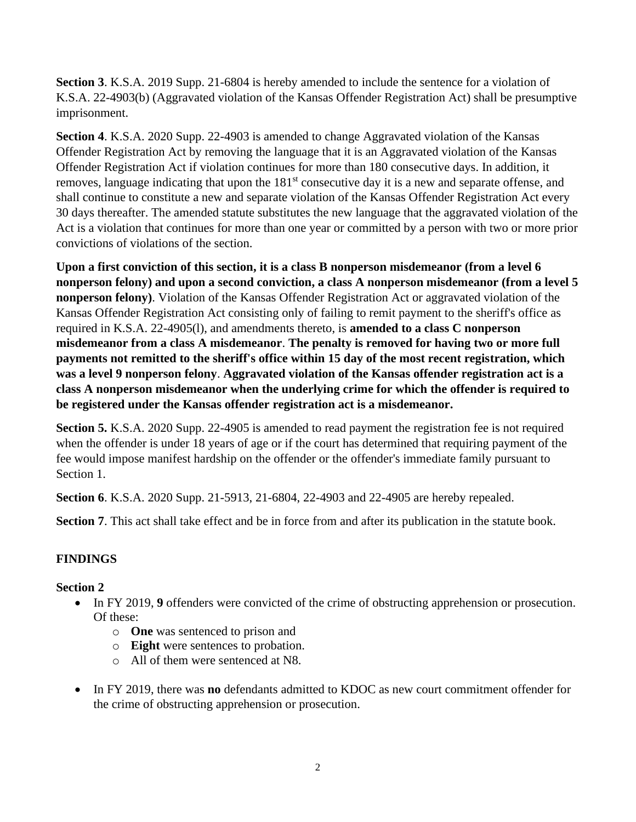**Section 3**. K.S.A. 2019 Supp. 21-6804 is hereby amended to include the sentence for a violation of K.S.A. 22-4903(b) (Aggravated violation of the Kansas Offender Registration Act) shall be presumptive imprisonment.

**Section 4**. K.S.A. 2020 Supp. 22-4903 is amended to change Aggravated violation of the Kansas Offender Registration Act by removing the language that it is an Aggravated violation of the Kansas Offender Registration Act if violation continues for more than 180 consecutive days. In addition, it removes, language indicating that upon the 181<sup>st</sup> consecutive day it is a new and separate offense, and shall continue to constitute a new and separate violation of the Kansas Offender Registration Act every 30 days thereafter. The amended statute substitutes the new language that the aggravated violation of the Act is a violation that continues for more than one year or committed by a person with two or more prior convictions of violations of the section.

**Upon a first conviction of this section, it is a class B nonperson misdemeanor (from a level 6 nonperson felony) and upon a second conviction, a class A nonperson misdemeanor (from a level 5 nonperson felony)**. Violation of the Kansas Offender Registration Act or aggravated violation of the Kansas Offender Registration Act consisting only of failing to remit payment to the sheriff's office as required in K.S.A. 22-4905(l), and amendments thereto, is **amended to a class C nonperson misdemeanor from a class A misdemeanor**. **The penalty is removed for having two or more full payments not remitted to the sheriff's office within 15 day of the most recent registration, which was a level 9 nonperson felony**. **Aggravated violation of the Kansas offender registration act is a class A nonperson misdemeanor when the underlying crime for which the offender is required to be registered under the Kansas offender registration act is a misdemeanor.**

**Section 5.** K.S.A. 2020 Supp. 22-4905 is amended to read payment the registration fee is not required when the offender is under 18 years of age or if the court has determined that requiring payment of the fee would impose manifest hardship on the offender or the offender's immediate family pursuant to Section 1.

**Section 6**. K.S.A. 2020 Supp. 21-5913, 21-6804, 22-4903 and 22-4905 are hereby repealed.

**Section 7.** This act shall take effect and be in force from and after its publication in the statute book.

# **FINDINGS**

# **Section 2**

- In FY 2019, **9** offenders were convicted of the crime of obstructing apprehension or prosecution. Of these:
	- o **One** was sentenced to prison and
	- o **Eight** were sentences to probation.
	- o All of them were sentenced at N8.
- In FY 2019, there was **no** defendants admitted to KDOC as new court commitment offender for the crime of obstructing apprehension or prosecution.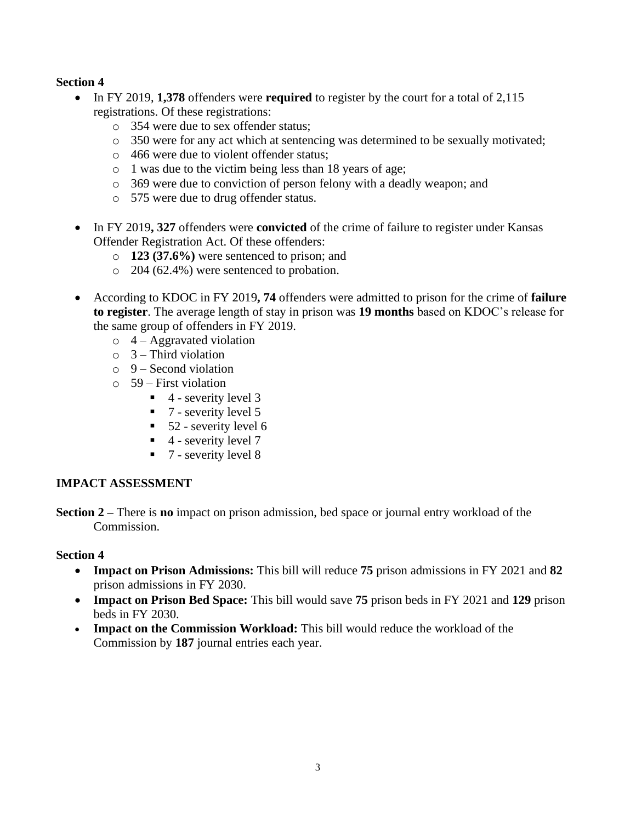### **Section 4**

- In FY 2019, **1,378** offenders were **required** to register by the court for a total of 2,115 registrations. Of these registrations:
	- o 354 were due to sex offender status;
	- o 350 were for any act which at sentencing was determined to be sexually motivated;
	- o 466 were due to violent offender status;
	- o 1 was due to the victim being less than 18 years of age;
	- o 369 were due to conviction of person felony with a deadly weapon; and
	- o 575 were due to drug offender status.
- In FY 2019**, 327** offenders were **convicted** of the crime of failure to register under Kansas Offender Registration Act. Of these offenders:
	- o **123 (37.6%)** were sentenced to prison; and
	- o 204 (62.4%) were sentenced to probation.
- According to KDOC in FY 2019**, 74** offenders were admitted to prison for the crime of **failure to register**. The average length of stay in prison was **19 months** based on KDOC's release for the same group of offenders in FY 2019.
	- $\circ$  4 Aggravated violation
	- $\circ$  3 Third violation
	- $\circ$  9 Second violation
	- $\circ$  59 First violation
		- $\blacksquare$  4 severity level 3
		- $\blacksquare$  7 severity level 5
		- $\blacksquare$  52 severity level 6
		- $\blacksquare$  4 severity level 7
		- $\blacksquare$  7 severity level 8

## **IMPACT ASSESSMENT**

**Section 2 –** There is **no** impact on prison admission, bed space or journal entry workload of the Commission.

#### **Section 4**

- **Impact on Prison Admissions:** This bill will reduce **75** prison admissions in FY 2021 and **82**  prison admissions in FY 2030.
- **Impact on Prison Bed Space:** This bill would save **75** prison beds in FY 2021 and **129** prison beds in FY 2030.
- **Impact on the Commission Workload:** This bill would reduce the workload of the Commission by **187** journal entries each year.